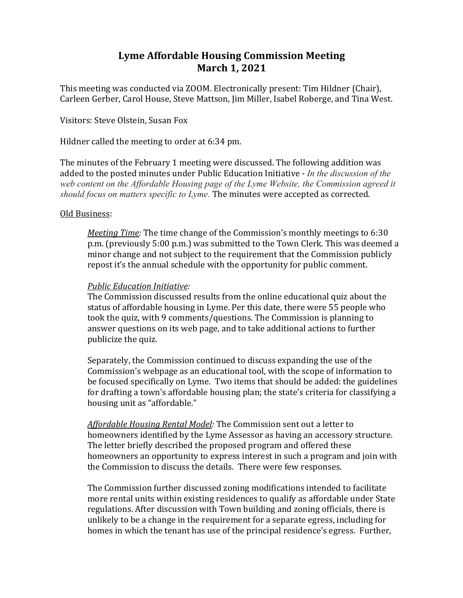## **Lyme Affordable Housing Commission Meeting March** 1, 2021

This meeting was conducted via ZOOM. Electronically present: Tim Hildner (Chair), Carleen Gerber, Carol House, Steve Mattson, Jim Miller, Isabel Roberge, and Tina West.

Visitors: Steve Olstein, Susan Fox

Hildner called the meeting to order at 6:34 pm.

The minutes of the February 1 meeting were discussed. The following addition was added to the posted minutes under Public Education Initiative - *In the discussion of the web content on the Affordable Housing page of the Lyme Website, the Commission agreed it should focus on matters specific to Lyme*. The minutes were accepted as corrected.

## Old Business:

*Meeting Time:* The time change of the Commission's monthly meetings to 6:30 p.m. (previously 5:00 p.m.) was submitted to the Town Clerk. This was deemed a minor change and not subject to the requirement that the Commission publicly repost it's the annual schedule with the opportunity for public comment.

## **Public Education Initiative:**

The Commission discussed results from the online educational quiz about the status of affordable housing in Lyme. Per this date, there were 55 people who took the quiz, with 9 comments/questions. The Commission is planning to answer questions on its web page, and to take additional actions to further publicize the quiz.

Separately, the Commission continued to discuss expanding the use of the Commission's webpage as an educational tool, with the scope of information to be focused specifically on Lyme. Two items that should be added: the guidelines for drafting a town's affordable housing plan; the state's criteria for classifying a housing unit as "affordable."

Affordable Housing Rental Model: The Commission sent out a letter to homeowners identified by the Lyme Assessor as having an accessory structure. The letter briefly described the proposed program and offered these homeowners an opportunity to express interest in such a program and join with the Commission to discuss the details. There were few responses.

The Commission further discussed zoning modifications intended to facilitate more rental units within existing residences to qualify as affordable under State regulations. After discussion with Town building and zoning officials, there is unlikely to be a change in the requirement for a separate egress, including for homes in which the tenant has use of the principal residence's egress. Further,